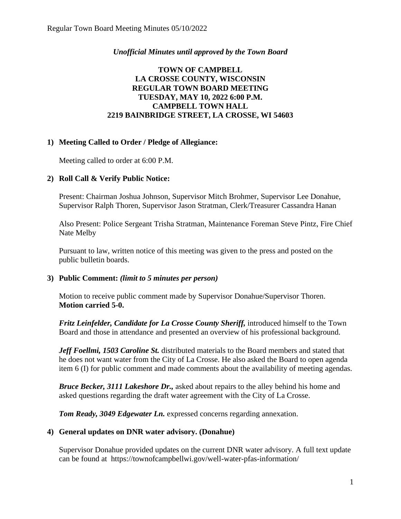## *Unofficial Minutes until approved by the Town Board*

# **TOWN OF CAMPBELL LA CROSSE COUNTY, WISCONSIN REGULAR TOWN BOARD MEETING TUESDAY, MAY 10, 2022 6:00 P.M. CAMPBELL TOWN HALL 2219 BAINBRIDGE STREET, LA CROSSE, WI 54603**

## **1) Meeting Called to Order / Pledge of Allegiance:**

Meeting called to order at 6:00 P.M.

## **2) Roll Call & Verify Public Notice:**

Present: Chairman Joshua Johnson, Supervisor Mitch Brohmer, Supervisor Lee Donahue, Supervisor Ralph Thoren, Supervisor Jason Stratman, Clerk/Treasurer Cassandra Hanan

Also Present: Police Sergeant Trisha Stratman, Maintenance Foreman Steve Pintz, Fire Chief Nate Melby

Pursuant to law, written notice of this meeting was given to the press and posted on the public bulletin boards.

#### **3) Public Comment:** *(limit to 5 minutes per person)*

Motion to receive public comment made by Supervisor Donahue/Supervisor Thoren. **Motion carried 5-0.**

*Fritz Leinfelder, Candidate for La Crosse County Sheriff, introduced himself to the Town* Board and those in attendance and presented an overview of his professional background.

*Jeff Foellmi, 1503 Caroline St.* distributed materials to the Board members and stated that he does not want water from the City of La Crosse. He also asked the Board to open agenda item 6 (I) for public comment and made comments about the availability of meeting agendas.

*Bruce Becker, 3111 Lakeshore Dr.,* asked about repairs to the alley behind his home and asked questions regarding the draft water agreement with the City of La Crosse.

*Tom Ready, 3049 Edgewater Ln.* expressed concerns regarding annexation.

#### **4) General updates on DNR water advisory. (Donahue)**

Supervisor Donahue provided updates on the current DNR water advisory. A full text update can be found at https://townofcampbellwi.gov/well-water-pfas-information/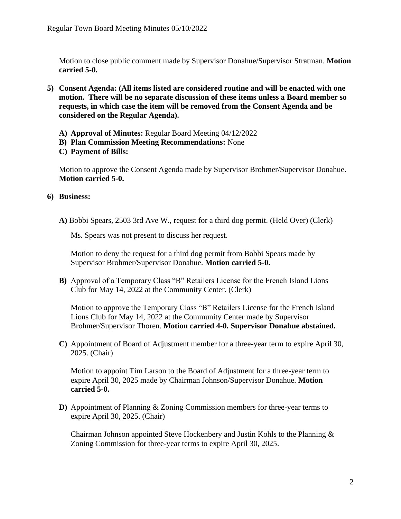Motion to close public comment made by Supervisor Donahue/Supervisor Stratman. **Motion carried 5-0.**

- **5) Consent Agenda: (All items listed are considered routine and will be enacted with one motion. There will be no separate discussion of these items unless a Board member so requests, in which case the item will be removed from the Consent Agenda and be considered on the Regular Agenda).**
	- **A) Approval of Minutes:** Regular Board Meeting 04/12/2022
	- **B) Plan Commission Meeting Recommendations:** None
	- **C) Payment of Bills:**

Motion to approve the Consent Agenda made by Supervisor Brohmer/Supervisor Donahue. **Motion carried 5-0.** 

## **6) Business:**

**A)** Bobbi Spears, 2503 3rd Ave W., request for a third dog permit. (Held Over) (Clerk)

Ms. Spears was not present to discuss her request.

Motion to deny the request for a third dog permit from Bobbi Spears made by Supervisor Brohmer/Supervisor Donahue. **Motion carried 5-0.** 

**B)** Approval of a Temporary Class "B" Retailers License for the French Island Lions Club for May 14, 2022 at the Community Center. (Clerk)

Motion to approve the Temporary Class "B" Retailers License for the French Island Lions Club for May 14, 2022 at the Community Center made by Supervisor Brohmer/Supervisor Thoren. **Motion carried 4-0. Supervisor Donahue abstained.** 

**C)** Appointment of Board of Adjustment member for a three-year term to expire April 30, 2025. (Chair)

Motion to appoint Tim Larson to the Board of Adjustment for a three-year term to expire April 30, 2025 made by Chairman Johnson/Supervisor Donahue. **Motion carried 5-0.**

**D)** Appointment of Planning & Zoning Commission members for three-year terms to expire April 30, 2025. (Chair)

Chairman Johnson appointed Steve Hockenbery and Justin Kohls to the Planning & Zoning Commission for three-year terms to expire April 30, 2025.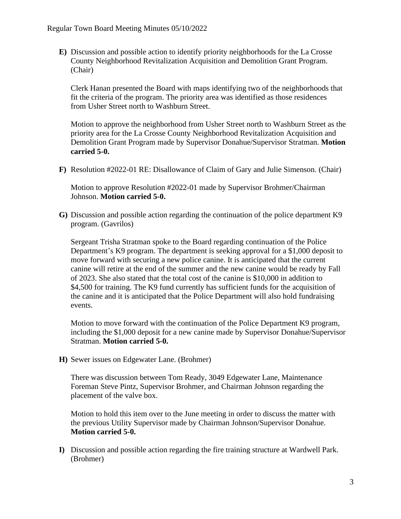**E)** Discussion and possible action to identify priority neighborhoods for the La Crosse County Neighborhood Revitalization Acquisition and Demolition Grant Program. (Chair)

Clerk Hanan presented the Board with maps identifying two of the neighborhoods that fit the criteria of the program. The priority area was identified as those residences from Usher Street north to Washburn Street.

Motion to approve the neighborhood from Usher Street north to Washburn Street as the priority area for the La Crosse County Neighborhood Revitalization Acquisition and Demolition Grant Program made by Supervisor Donahue/Supervisor Stratman. **Motion carried 5-0.** 

**F)** Resolution #2022-01 RE: Disallowance of Claim of Gary and Julie Simenson. (Chair)

Motion to approve Resolution #2022-01 made by Supervisor Brohmer/Chairman Johnson. **Motion carried 5-0.**

**G)** Discussion and possible action regarding the continuation of the police department K9 program. (Gavrilos)

Sergeant Trisha Stratman spoke to the Board regarding continuation of the Police Department's K9 program. The department is seeking approval for a \$1,000 deposit to move forward with securing a new police canine. It is anticipated that the current canine will retire at the end of the summer and the new canine would be ready by Fall of 2023. She also stated that the total cost of the canine is \$10,000 in addition to \$4,500 for training. The K9 fund currently has sufficient funds for the acquisition of the canine and it is anticipated that the Police Department will also hold fundraising events.

Motion to move forward with the continuation of the Police Department K9 program, including the \$1,000 deposit for a new canine made by Supervisor Donahue/Supervisor Stratman. **Motion carried 5-0.** 

**H)** Sewer issues on Edgewater Lane. (Brohmer)

There was discussion between Tom Ready, 3049 Edgewater Lane, Maintenance Foreman Steve Pintz, Supervisor Brohmer, and Chairman Johnson regarding the placement of the valve box.

Motion to hold this item over to the June meeting in order to discuss the matter with the previous Utility Supervisor made by Chairman Johnson/Supervisor Donahue. **Motion carried 5-0.** 

**I)** Discussion and possible action regarding the fire training structure at Wardwell Park. (Brohmer)